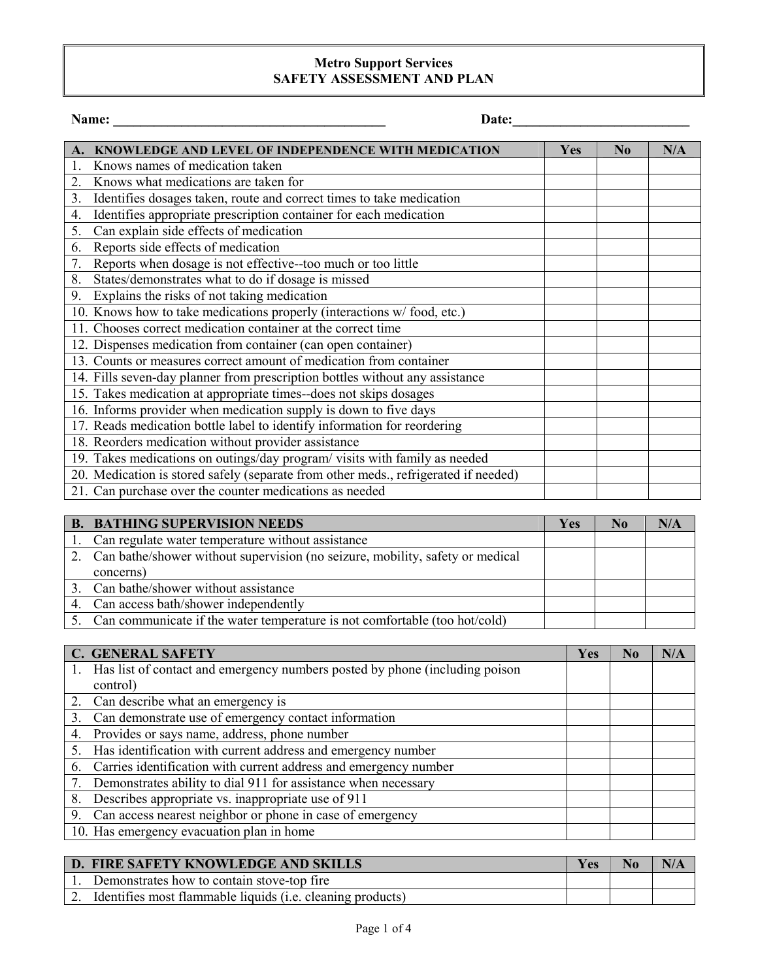## **Metro Support Services SAFETY ASSESSMENT AND PLAN**

|  | aп<br>n |  |
|--|---------|--|
|  |         |  |

**Name: \_\_\_\_\_\_\_\_\_\_\_\_\_\_\_\_\_\_\_\_\_\_\_\_\_\_\_\_\_\_\_\_\_\_\_\_\_\_\_\_ Date:\_\_\_\_\_\_\_\_\_\_\_\_\_\_\_\_\_\_\_\_\_\_\_\_\_\_** 

|                  | <b>KNOWLEDGE AND LEVEL OF INDEPENDENCE WITH MEDICATION</b>                          | <b>Yes</b> | N <sub>0</sub> | N/A |
|------------------|-------------------------------------------------------------------------------------|------------|----------------|-----|
|                  | Knows names of medication taken                                                     |            |                |     |
| 2.               | Knows what medications are taken for                                                |            |                |     |
| 3.               | Identifies dosages taken, route and correct times to take medication                |            |                |     |
| $\overline{4}$ . | Identifies appropriate prescription container for each medication                   |            |                |     |
| 5.               | Can explain side effects of medication                                              |            |                |     |
| 6.               | Reports side effects of medication                                                  |            |                |     |
| 7.               | Reports when dosage is not effective--too much or too little                        |            |                |     |
| 8.               | States/demonstrates what to do if dosage is missed                                  |            |                |     |
| 9.               | Explains the risks of not taking medication                                         |            |                |     |
|                  | 10. Knows how to take medications properly (interactions w/food, etc.)              |            |                |     |
|                  | 11. Chooses correct medication container at the correct time                        |            |                |     |
|                  | 12. Dispenses medication from container (can open container)                        |            |                |     |
|                  | 13. Counts or measures correct amount of medication from container                  |            |                |     |
|                  | 14. Fills seven-day planner from prescription bottles without any assistance        |            |                |     |
|                  | 15. Takes medication at appropriate times--does not skips dosages                   |            |                |     |
|                  | 16. Informs provider when medication supply is down to five days                    |            |                |     |
|                  | 17. Reads medication bottle label to identify information for reordering            |            |                |     |
|                  | 18. Reorders medication without provider assistance                                 |            |                |     |
|                  | 19. Takes medications on outings/day program/visits with family as needed           |            |                |     |
|                  | 20. Medication is stored safely (separate from other meds., refrigerated if needed) |            |                |     |
|                  | 21. Can purchase over the counter medications as needed                             |            |                |     |

| <b>B. BATHING SUPERVISION NEEDS</b>                                              | Yes | N <sub>0</sub> | N/A |
|----------------------------------------------------------------------------------|-----|----------------|-----|
| 1. Can regulate water temperature without assistance                             |     |                |     |
| 2. Can bathe/shower without supervision (no seizure, mobility, safety or medical |     |                |     |
| concerns)                                                                        |     |                |     |
| 3. Can bathe/shower without assistance                                           |     |                |     |
| 4. Can access bath/shower independently                                          |     |                |     |
| 5. Can communicate if the water temperature is not comfortable (too hot/cold)    |     |                |     |

|    | <b>C. GENERAL SAFETY</b>                                                       | Yes | N <sub>0</sub> | N/A |
|----|--------------------------------------------------------------------------------|-----|----------------|-----|
|    | 1. Has list of contact and emergency numbers posted by phone (including poison |     |                |     |
|    | control)                                                                       |     |                |     |
|    | 2. Can describe what an emergency is                                           |     |                |     |
| 3. | Can demonstrate use of emergency contact information                           |     |                |     |
|    | 4. Provides or says name, address, phone number                                |     |                |     |
|    | 5. Has identification with current address and emergency number                |     |                |     |
|    | 6. Carries identification with current address and emergency number            |     |                |     |
|    | 7. Demonstrates ability to dial 911 for assistance when necessary              |     |                |     |
|    | 8. Describes appropriate vs. inappropriate use of 911                          |     |                |     |
|    | 9. Can access nearest neighbor or phone in case of emergency                   |     |                |     |
|    | 10. Has emergency evacuation plan in home                                      |     |                |     |

| D. FIRE SAFETY KNOWLEDGE AND SKILLS                        | <b>Yes</b> | N/A |
|------------------------------------------------------------|------------|-----|
| Demonstrates how to contain stove-top fire                 |            |     |
| Identifies most flammable liquids (i.e. cleaning products) |            |     |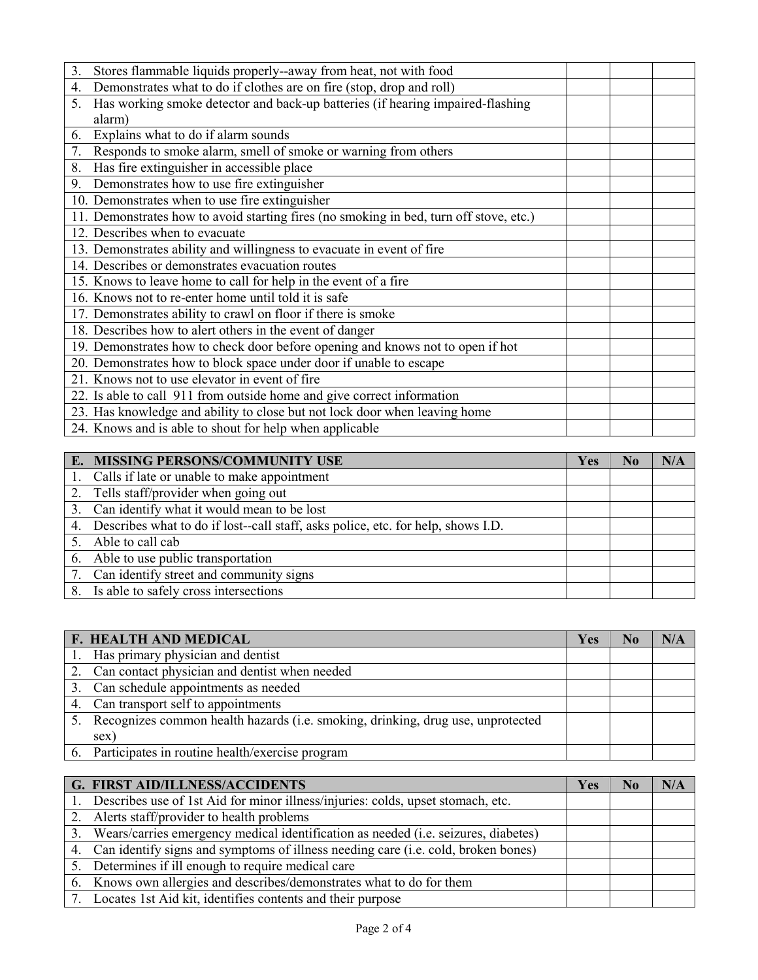| 3.               | Stores flammable liquids properly--away from heat, not with food                       |  |
|------------------|----------------------------------------------------------------------------------------|--|
| $\overline{4}$ . | Demonstrates what to do if clothes are on fire (stop, drop and roll)                   |  |
| 5.               | Has working smoke detector and back-up batteries (if hearing impaired-flashing         |  |
|                  | alarm)                                                                                 |  |
| 6.               | Explains what to do if alarm sounds                                                    |  |
| 7.               | Responds to smoke alarm, smell of smoke or warning from others                         |  |
| 8.               | Has fire extinguisher in accessible place                                              |  |
| 9.               | Demonstrates how to use fire extinguisher                                              |  |
|                  | 10. Demonstrates when to use fire extinguisher                                         |  |
|                  | 11. Demonstrates how to avoid starting fires (no smoking in bed, turn off stove, etc.) |  |
|                  | 12. Describes when to evacuate                                                         |  |
|                  | 13. Demonstrates ability and willingness to evacuate in event of fire                  |  |
|                  | 14. Describes or demonstrates evacuation routes                                        |  |
|                  | 15. Knows to leave home to call for help in the event of a fire                        |  |
|                  | 16. Knows not to re-enter home until told it is safe                                   |  |
|                  | 17. Demonstrates ability to crawl on floor if there is smoke                           |  |
|                  | 18. Describes how to alert others in the event of danger                               |  |
|                  | 19. Demonstrates how to check door before opening and knows not to open if hot         |  |
|                  | 20. Demonstrates how to block space under door if unable to escape                     |  |
|                  | 21. Knows not to use elevator in event of fire                                         |  |
|                  | 22. Is able to call 911 from outside home and give correct information                 |  |
|                  | 23. Has knowledge and ability to close but not lock door when leaving home             |  |
|                  | 24. Knows and is able to shout for help when applicable                                |  |

| E. MISSING PERSONS/COMMUNITY USE                                                   | Yes | $\bf No$ | N/A |
|------------------------------------------------------------------------------------|-----|----------|-----|
| 1. Calls if late or unable to make appointment                                     |     |          |     |
| 2. Tells staff/provider when going out                                             |     |          |     |
| 3. Can identify what it would mean to be lost                                      |     |          |     |
| 4. Describes what to do if lost-call staff, asks police, etc. for help, shows I.D. |     |          |     |
| Able to call cab                                                                   |     |          |     |
| 6. Able to use public transportation                                               |     |          |     |
| 7. Can identify street and community signs                                         |     |          |     |
| 8. Is able to safely cross intersections                                           |     |          |     |

| <b>F. HEALTH AND MEDICAL</b>                                                       | Yes | N <sub>0</sub> | N/A |
|------------------------------------------------------------------------------------|-----|----------------|-----|
| 1. Has primary physician and dentist                                               |     |                |     |
| 2. Can contact physician and dentist when needed                                   |     |                |     |
| 3. Can schedule appointments as needed                                             |     |                |     |
| 4. Can transport self to appointments                                              |     |                |     |
| 5. Recognizes common health hazards (i.e. smoking, drinking, drug use, unprotected |     |                |     |
| sex)                                                                               |     |                |     |
| 6. Participates in routine health/exercise program                                 |     |                |     |

| <b>G. FIRST AID/ILLNESS/ACCIDENTS</b>                                                 | Yes | N <sub>0</sub> | N/A |
|---------------------------------------------------------------------------------------|-----|----------------|-----|
| 1. Describes use of 1st Aid for minor illness/injuries: colds, upset stomach, etc.    |     |                |     |
| 2. Alerts staff/provider to health problems                                           |     |                |     |
| 3. Wears/carries emergency medical identification as needed (i.e. seizures, diabetes) |     |                |     |
| 4. Can identify signs and symptoms of illness needing care (i.e. cold, broken bones)  |     |                |     |
| 5. Determines if ill enough to require medical care                                   |     |                |     |
| 6. Knows own allergies and describes/demonstrates what to do for them                 |     |                |     |
| 7. Locates 1st Aid kit, identifies contents and their purpose                         |     |                |     |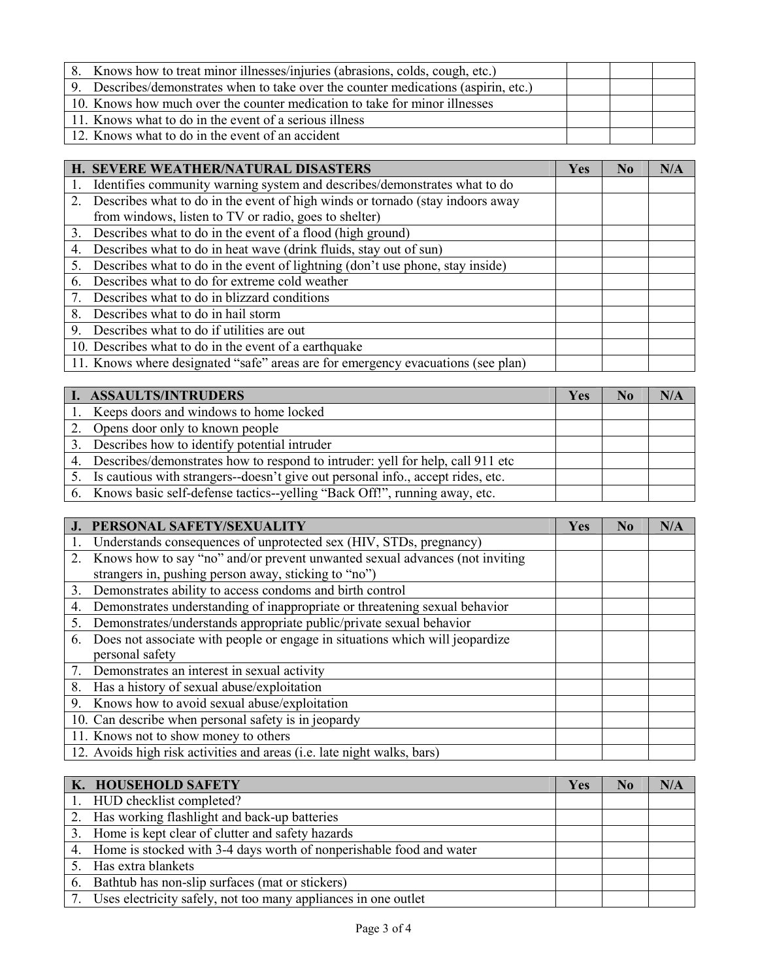| 8. Knows how to treat minor illnesses/injuries (abrasions, colds, cough, etc.)      |  |  |
|-------------------------------------------------------------------------------------|--|--|
| 9. Describes/demonstrates when to take over the counter medications (aspirin, etc.) |  |  |
| 10. Knows how much over the counter medication to take for minor illnesses          |  |  |
| 11. Knows what to do in the event of a serious illness                              |  |  |
| 12. Knows what to do in the event of an accident                                    |  |  |

|    | H. SEVERE WEATHER/NATURAL DISASTERS                                              | Yes | No | N/A |
|----|----------------------------------------------------------------------------------|-----|----|-----|
|    | Identifies community warning system and describes/demonstrates what to do        |     |    |     |
|    | 2. Describes what to do in the event of high winds or tornado (stay indoors away |     |    |     |
|    | from windows, listen to TV or radio, goes to shelter)                            |     |    |     |
|    | 3. Describes what to do in the event of a flood (high ground)                    |     |    |     |
| 4. | Describes what to do in heat wave (drink fluids, stay out of sun)                |     |    |     |
| 5. | Describes what to do in the event of lightning (don't use phone, stay inside)    |     |    |     |
| 6. | Describes what to do for extreme cold weather                                    |     |    |     |
|    | 7. Describes what to do in blizzard conditions                                   |     |    |     |
|    | 8. Describes what to do in hail storm                                            |     |    |     |
|    | 9. Describes what to do if utilities are out                                     |     |    |     |
|    | 10. Describes what to do in the event of a earthquake                            |     |    |     |
|    | 11. Knows where designated "safe" areas are for emergency evacuations (see plan) |     |    |     |

| I. ASSAULTS/INTRUDERS                                                             | <b>Yes</b> | N <sub>0</sub> | N/A |
|-----------------------------------------------------------------------------------|------------|----------------|-----|
| 1. Keeps doors and windows to home locked                                         |            |                |     |
| 2. Opens door only to known people                                                |            |                |     |
| 3. Describes how to identify potential intruder                                   |            |                |     |
| 4. Describes/demonstrates how to respond to intruder: yell for help, call 911 etc |            |                |     |
| 5. Is cautious with strangers-doesn't give out personal info., accept rides, etc. |            |                |     |
| 6. Knows basic self-defense tactics--yelling "Back Off!", running away, etc.      |            |                |     |

|    | J. PERSONAL SAFETY/SEXUALITY                                                    | Yes | No | N/A |
|----|---------------------------------------------------------------------------------|-----|----|-----|
|    | Understands consequences of unprotected sex (HIV, STDs, pregnancy)              |     |    |     |
|    | 2. Knows how to say "no" and/or prevent unwanted sexual advances (not inviting  |     |    |     |
|    | strangers in, pushing person away, sticking to "no")                            |     |    |     |
|    | 3. Demonstrates ability to access condoms and birth control                     |     |    |     |
| 4. | Demonstrates understanding of inappropriate or threatening sexual behavior      |     |    |     |
| 5. | Demonstrates/understands appropriate public/private sexual behavior             |     |    |     |
|    | 6. Does not associate with people or engage in situations which will jeopardize |     |    |     |
|    | personal safety                                                                 |     |    |     |
|    | 7. Demonstrates an interest in sexual activity                                  |     |    |     |
|    | 8. Has a history of sexual abuse/exploitation                                   |     |    |     |
|    | 9. Knows how to avoid sexual abuse/exploitation                                 |     |    |     |
|    | 10. Can describe when personal safety is in jeopardy                            |     |    |     |
|    | 11. Knows not to show money to others                                           |     |    |     |
|    | 12. Avoids high risk activities and areas (i.e. late night walks, bars)         |     |    |     |

| K. HOUSEHOLD SAFETY                                                    | Yes | N0 | N/A |
|------------------------------------------------------------------------|-----|----|-----|
| 1. HUD checklist completed?                                            |     |    |     |
| 2. Has working flashlight and back-up batteries                        |     |    |     |
| 3. Home is kept clear of clutter and safety hazards                    |     |    |     |
| 4. Home is stocked with 3-4 days worth of nonperishable food and water |     |    |     |
| 5. Has extra blankets                                                  |     |    |     |
| 6. Bathtub has non-slip surfaces (mat or stickers)                     |     |    |     |
| 7. Uses electricity safely, not too many appliances in one outlet      |     |    |     |